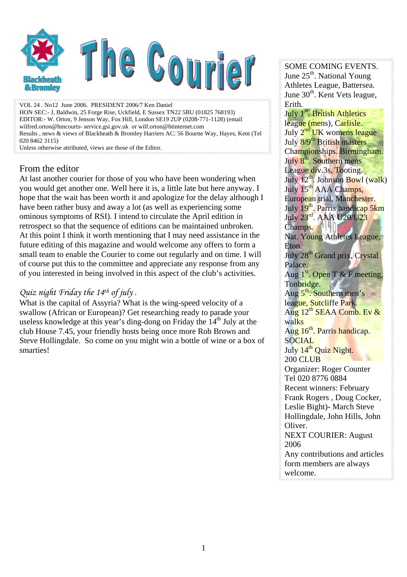

VOL 24 . No12 June 2006. PRESIDENT 2006/7 Ken Daniel HON SEC:- J, Baldwin, 25 Forge Rise, Uckfield, E Sussex TN22 5BU (01825 768193) EDITOR:- W. Orton, 9 Jenson Way, Fox Hill, London SE19 2UP (0208-771-1128) (email wilfred.orton@hmcourts- service.gsi.gov.uk or wilf.orton@btinternet.com Results , news & views of Blackheath & Bromley Harriers AC: 56 Bourne Way, Hayes, Kent (Tel 020 8462 3115)

Unless otherwise attributed, views are those of the Editor.

### From the editor

At last another courier for those of you who have been wondering when you would get another one. Well here it is, a little late but here anyway. I hope that the wait has been worth it and apologize for the delay although I have been rather busy and away a lot (as well as experiencing some ominous symptoms of RSI). I intend to circulate the April edition in retrospect so that the sequence of editions can be maintained unbroken. At this point I think it worth mentioning that I may need assistance in the future editing of this magazine and would welcome any offers to form a small team to enable the Courier to come out regularly and on time. I will of course put this to the committee and appreciate any response from any of you interested in being involved in this aspect of the club's activities.

### *Quiz night Friday the 14th of july .*

What is the capital of Assyria? What is the wing-speed velocity of a swallow (African or European)? Get researching ready to parade your useless knowledge at this year's ding-dong on Friday the 14<sup>th</sup> July at the club House 7.45, your friendly hosts being once more Rob Brown and Steve Hollingdale. So come on you might win a bottle of wine or a box of smarties!

SOME COMING EVENTS. June  $25<sup>th</sup>$ . National Young Athletes League, Battersea. June 30<sup>th</sup>. Kent Vets league, Erith.

July 1<sup>st</sup>. British Athletics league (mens), Carlisle. July  $2^{nd}$  UK womens league July 8/9<sup>th</sup> British masters Championships. Birmingham. July 8<sup>th</sup>. Southern mens League div.3s, Tooting. July  $12^{th}$ . Johnson Bowl (walk) July 15<sup>th</sup> AAA Champs, European trial, Manchester. July 19<sup>th</sup>. Parris handicap 5km July 23rd. AAA U20/U23 Champs. Nat. Young Athletes League, Eton. July 28<sup>th</sup> Grand prix, Crystal Palace. Aug  $1<sup>st</sup>$ . Open T & F meeting, Tonbridge. Aug 5<sup>th</sup>. Southern men's league, Sutcliffe Park. Aug  $12^{th}$  SEAA Comb. Ev  $\&$ walks Aug 16<sup>th</sup>. Parris handicap. SOCIAL July 14<sup>th</sup> Quiz Night. 200 CLUB Organizer: Roger Counter Tel 020 8776 0884 Recent winners: February Frank Rogers , Doug Cocker, Leslie Bight)- March Steve Hollingdale, John Hills, John Oliver. NEXT COURIER: August 2006 Any contributions and articles form members are always welcome.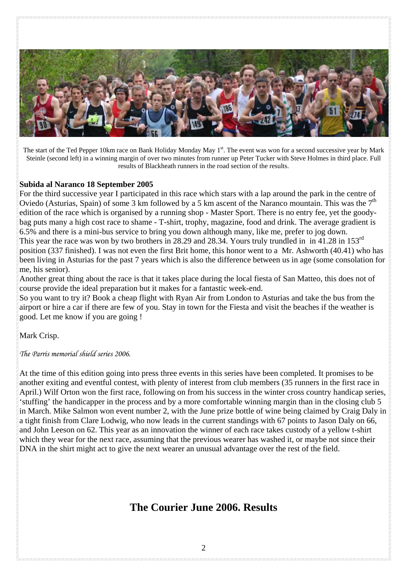

The start of the Ted Pepper 10km race on Bank Holiday Monday May 1<sup>st</sup>. The event was won for a second successive year by Mark Steinle (second left) in a winning margin of over two minutes from runner up Peter Tucker with Steve Holmes in third place. Full results of Blackheath runners in the road section of the results.

#### **Subida al Naranco 18 September 2005**

For the third successive year I participated in this race which stars with a lap around the park in the centre of Oviedo (Asturias, Spain) of some 3 km followed by a 5 km ascent of the Naranco mountain. This was the  $7<sup>th</sup>$ edition of the race which is organised by a running shop - Master Sport. There is no entry fee, yet the goodybag puts many a high cost race to shame - T-shirt, trophy, magazine, food and drink. The average gradient is 6.5% and there is a mini-bus service to bring you down although many, like me, prefer to jog down. This year the race was won by two brothers in 28.29 and 28.34. Yours truly trundled in in 41.28 in 153<sup>rd</sup> position (337 finished). I was not even the first Brit home, this honor went to a Mr. Ashworth (40.41) who has been living in Asturias for the past 7 years which is also the difference between us in age (some consolation for me, his senior).

Another great thing about the race is that it takes place during the local fiesta of San Matteo, this does not of course provide the ideal preparation but it makes for a fantastic week-end.

So you want to try it? Book a cheap flight with Ryan Air from London to Asturias and take the bus from the airport or hire a car if there are few of you. Stay in town for the Fiesta and visit the beaches if the weather is good. Let me know if you are going !

Mark Crisp.

*The Parris memorial shield series 2006.* 

At the time of this edition going into press three events in this series have been completed. It promises to be another exiting and eventful contest, with plenty of interest from club members (35 runners in the first race in April.) Wilf Orton won the first race, following on from his success in the winter cross country handicap series, 'stuffing' the handicapper in the process and by a more comfortable winning margin than in the closing club 5 in March. Mike Salmon won event number 2, with the June prize bottle of wine being claimed by Craig Daly in a tight finish from Clare Lodwig, who now leads in the current standings with 67 points to Jason Daly on 66, and John Leeson on 62. This year as an innovation the winner of each race takes custody of a yellow t-shirt which they wear for the next race, assuming that the previous wearer has washed it, or maybe not since their DNA in the shirt might act to give the next wearer an unusual advantage over the rest of the field.

## **The Courier June 2006. Results**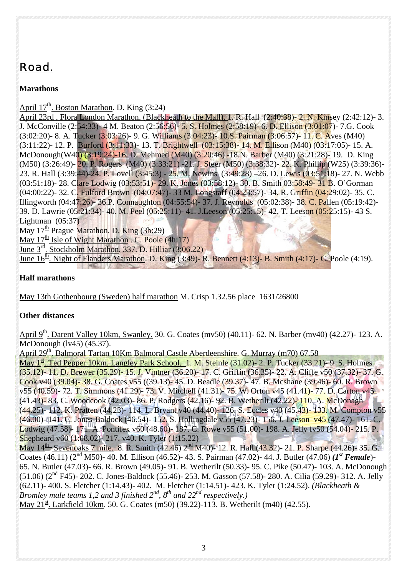# *Road.*

**Marathons**

April  $17^{\underline{th}}$ . Boston Marathon. D. King (3:24)

April 23rd . Flora London Marathon. (Blackheath to the Mall). 1. R. Hall (2:40:38)- 2. N. Kinsey (2:42:12)- 3. J. McConville (2:54:33)- 4 M. Beaton (2:56:56)- 5. S. Holmes (2:58:19)- 6. D. Ellison (3:01:07)- 7.G. Cook (3:02:20)- 8. A. Tucker (3:03:26)- 9. G. Williams (3:04:23)- 10.S. Pairman (3:06:57)- 11. C. Aves (M40) (3:11:22)- 12. P. Burford (3:11:33)- 13. T. Brightwell (03:15:38)- 14. M. Ellison (M40) (03:17:05)- 15. A. McDonough(W40) (3:19:24)-16. D. Mehmed (M40) (3:20:46) -18.N. Barber (M40) (3:21:28)- 19. D. King (M50) (3:26:49)- 20. P. Rogers (M40) (3:33:21) -21. J. Steer (M50) (3:38:32)- 22. K. Phillip (W25) (3:39:36)- 23. R. Hall (3:39:44)-24. P. Lovell (3:45:3) - 25. M. Newins (3:49:28) –26. D. Lewis (03:51:18)- 27. N. Webb (03:51:18)- 28. Clare Lodwig (03:53:51)- 29. K. Jones (03:58:12)- 30. B. Smith 03:58:49- 31 B. O'Gorman (04:00:22)- 32. C. Fulford Brown (04:07:47)- 33 M. Longstaff (04:23:57)- 34. R. Griffin (04:29:02)- 35. C. Illingworth (04:47:26)- 36.P. Connaughton (04:55:54)- 37. J. Reynolds (05:02:38)- 38. C. Pallen (05:19:42)- 39. D. Lawrie (05:21:34)- 40. M. Peel (05:25:11)- 41. J.Leeson (05:25:15)- 42. T. Leeson (05:25:15)- 43 S. Lightman (05:37)

May 17<sup>th</sup> Prague Marathon. D. King (3h:29)

May  $17^{\text{th}}$  Isle of Wight Marathon . C. Poole (4h:17)

June 3rd. Stockholm Marathon. 337. D. Hilliar (3:06.22)

June  $16<sup>th</sup>$ . Night of Flanders Marathon. D. King (3:49)- R. Bennett (4:13)- B. Smith (4:17)- C. Poole (4:19).

### **Half marathons**

May 13th Gothenbourg (Sweden) half marathon M. Crisp 1.32.56 place 1631/26800

### **Other distances**

April 9<sup>th</sup>. Darent Valley 10km, Swanley. 30. G. Coates (mv50) (40.11)- 62. N. Barber (mv40) (42.27)- 123. A. McDonough (lv45) (45.37).

April 29<sup>th</sup>. Balmoral Tartan 10Km Balmoral Castle Aberdeenshire. G. Murray (m70) 67.58

May 1<sup>st</sup>. Ted Pepper 10km. Langley Park School. 1. M. Steinle (31.02)- 2. P. Tucker (33.21)- 9. S. Holmes (35.12)- 11. D. Brewer (35.29)- 15. J. Vintner (36.20)- 17. C. Griffin (36.35)- 22. A. Cliffe v50 (37.32)- 37. G. Cook v40 (39.04)- 38. G. Coates v55 ((39.13)- 45. D. Beadle (39.37)- 47. B. Mcshane (39.46)- 60. R. Brown v55 (40.59)- 72. T. Simmons (41.29)- 73. V. Mitchell (41.31)- 75. W. Orton v45 (41.41)- 77. D. Carton v45 (41.43)- 83. C. Woodcook (42.03)- 86. P. Rodgers (42.16)- 92. B. Wetherilt (42.22)- 110. A. McDonagh (44.25)- 112. K. Pratten (44.23)- 114. L. Bryant v40 (44.40)- 126. S. Eccles v40 (45.43)- 133. M. Compton v55 (46.00)- 141. C. Jones-Baldock (46.54)- 152. S. Hollingdale v55 (47.23)- 156. J. Leeson v45 (47.47)- 161. C. Lodwig (47.58)- 171. A. Pontifex v60 (48.60)- 187. C. Rowe v55 (51.00)- 198. A. Jelly fv50 (54.04)- 215. P. Shepheard v60 (1:08.02)- 217. v40. K. Tyler (1:15.22)

May  $14^{\text{th}}$  Sevenoaks 7 mile. 8. R. Smith (42.46)  $2^{\text{nd}}$  M40)-12. R. Hall (43.32)- 21. P. Sharpe (44.26)- 35. G. Coates (46.11) (2nd M50)- 40. M. Ellison (46.52)- 43. S. Pairman (47.02)- 44. J. Butler (47.06) *(1st Female*)- 65. N. Butler (47.03)- 66. R. Brown (49.05)- 91. B. Wetherilt (50.33)- 95. C. Pike (50.47)- 103. A. McDonough (51.06) (2nd F45)- 202. C. Jones-Baldock (55.46)- 253. M. Gasson (57.58)- 280. A. Cilia (59.29)- 312. A. Jelly (62.11)- 400. S. Fletcher (1:14.43)- 402. M. Fletcher (1:14.51)- 423. K. Tyler (1:24.52). *(Blackheath & Bromley male teams 1,2 and 3 finished*  $2^{nd}$ *,*  $8^{th}$  *and*  $22^{nd}$  *respectively.)* May  $21^{st}$ . Larkfield 10km. 50. G. Coates (m50) (39.22)-113. B. Wetherilt (m40) (42.55).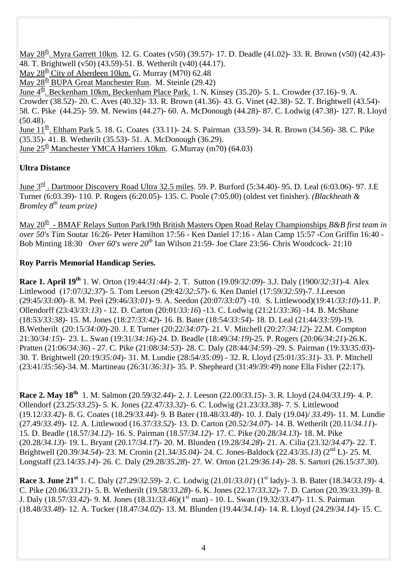May 28<sup>th</sup>. Myra Garrett 10km. 12. G. Coates (v50) (39.57)- 17. D. Deadle (41.02)- 33. R. Brown (v50) (42.43)-48. T. Brightwell (v50) (43.59)-51. B. Wetherilt (v40) (44.17).

May  $28^{\underline{th}}$  City of Aberdeen 10km. G. Murray (M70) 62.48

May  $28<sup>th</sup>$  BUPA Great Manchester Run. M. Steinle (29.42)

 $\frac{1}{\text{June 4}}$  Beckenham 10km, Beckenham Place Park. 1. N. Kinsey (35.20)- 5. L. Crowder (37.16)- 9. A.

Crowder (38.52)- 20. C. Aves (40.32)- 33. R. Brown (41.36)- 43. G. Vinet (42.38)- 52. T. Brightwell (43.54)-

58. C. Pike (44.25)- 59. M. Newins (44.27)- 60. A. McDonough (44.28)- 87. C. Lodwig (47.38)- 127. R. Lloyd  $(50.48)$ .

June 11<sup>th</sup>. Eltham Park 5. 18. G. Coates (33.11)- 24. S. Pairman (33.59)- 34. R. Brown (34.56)- 38. C. Pike (35.35)- 41. B. Wetherilt (35.53)- 51. A. McDonough (36.29). June  $25<sup>th</sup>$  Manchester YMCA Harriers 10km. G.Murray (m70) (64.03)

### **Ultra Distance**

June  $3<sup>rd</sup>$ . Dartmoor Discovery Road Ultra 32.5 miles. 59. P. Burford (5:34.40)- 95. D. Leal (6:03.06)- 97. J.E Turner (6:03.39)- 110. P. Rogers (6:20.05)- 135. C. Poole (7:05.00) (oldest vet finisher). *(Blackheath & Bromley 8th team prize)* 

May 20<sup>th</sup> - BMAF Relays Sutton Park19th British Masters Open Road Relay Championships *B&B first team in over 50's* Tim Soutar 16:26- Peter Hamilton 17:56 - Ken Daniel 17:16 - Alan Camp 15:57 -Con Griffin 16:40 - Bob Minting 18:30 *Over 60's were 20th* Ian Wilson 21:59- Joe Clare 23:56- Chris Woodcock- 21:10

### **Roy Parris Memorial Handicap Series.**

**Race 1. April 19th** 1. W. Orton (19:44/*31:44*)- 2. T. Sutton (19.09/*32:09*)- 3.J. Daly (1900/*32:31*)-4. Alex Littlewood (17:07/*32:37*)- 5. Tom Leeson (29:42/*32:57*)- 6. Ken Daniel (17:59/*32:59*)-7. J.Leeson (29:45/*33:00*)- 8. M. Peel (29:46/*33:01*)- 9. A. Seedon (20:07/*33:07*) -10. S. Littlewood)(19:41/*33:10*)-11. P. Ollendorff (23:43/*33:13*) - 12. D. Carton (20:01/*33:16*) -13. C. Lodwig (21:21/*33:36*) -14. B. McShane (18:53/*33:38)-* 15. M. Jones (18:27/*33:42*)- 16. B. Bater (18:54/*33:54*)- 18. D. Leal (21:44/*33:59*)-19. B.Wetherilt (20:15/*34:00*)-20. J. E Turner (20:22/*34:07*)- 21. V. Mitchell (20:27/*34:12*)- 22.M. Compton 21:30/*34:15*)- 23. L. Swan (19:31/*34:16*)-24. D. Beadle (18:49/*34:19*)-25. P. Rogers (20:06/*34:21*)-26.K. Pratten (21:06/*34:36*) - 27. C. Pike (21:08/*34:53*)- 28. C. Daly (28:44/*34:59*) -29. S. Pairman (19:33/*35:03*)- 30. T. Brightwell (20:19/*35:04*)- 31. M. Lundie (28:54/*35:09*) - 32. R. Lloyd (25:01/*35:31*)- 33. P. Mitchell (23:41/*35:56*)-34. M. Martineau (26:31/*36:31*)- 35. P. Shepheard (31:49/*39:49*) none Ella Fisher (22:17).

**Race 2. May 18th** 1. M. Salmon (20.59/*32.44*)- 2. J. Leeson (22.00/*33.15*)- 3. R. Lloyd (24.04/*33.19*)- 4. P. Ollendorf (23.25/*33.25*)- 5. K. Jones (22.47/*33.32*)- 6. C. Lodwig (21.23/*33.3*8)- 7. S. Littlewood (19.12/*33.42*)- 8. G. Coates (18.29/*33.44*)- 9. B Bater (18.48/*33.48*)- 10. J. Daly (19.04)/ *33.49*)- 11. M. Lundie (27.49/*33.49*)- 12. A. Littlewood (16.37/*33.52*)- 13. D. Carton (20.52/*34.07*)- 14. B. Wetherilt (20.11/*34.11*)- 15. D. Beadle (18.57/*34.12*)- 16. S. Pairman (18.57/*34.12*)- 17. C. Pike (20.28/*34.13*)- 18. M. Pike (20.28/*34.13*)- 19. L. Bryant (20.17/*34.17*)- 20. M. Blunden (19.28/*34.28*)- 21. A. Cilia (23.32/*34.47*)- 22. T. Brightwell (20.39/*34.54*)- 23. M. Cronin (21.34/*35.04)-* 24. C. Jones-Baldock (22.43/*35.13*) (2nd L)- 25. M. Longstaff (23.14/*35.14*)- 26. C. Daly (29.28/*35.28*)- 27. W. Orton (21.29/*36.14*)- 28. S. Sartori (26.15/*37.30*).

**Race 3. June 21st** 1. C. Daly (27.29/*32.59*)- 2. C. Lodwig (21.01/*33.01*) (1st lady)- 3. B. Bater (18.34/*33.19*)- 4. C. Pike (20.06/*33.21*)- 5. B. Wetherilt (19.58/*33.28*)- 6. K. Jones (22.17/*33.32*)- 7. D. Carton (20.39/*33.39*)- 8. J. Daly (18.57/*33.42*)- 9. M. Jones (18.31/*33.46*)(1st man) - 10. L. Swan (19.32/*33.47*)- 11. S. Pairman (18.48/*33.48*)- 12. A. Tucker (18.47/*34.02*)- 13. M. Blunden (19.44/*34.14*)- 14. R. Lloyd (24.29/*34.14*)- 15. C.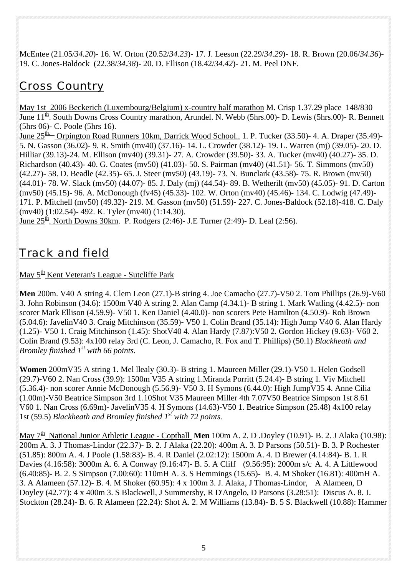McEntee (21.05/*34.20*)- 16. W. Orton (20.52/*34.23*)- 17. J. Leeson (22.29/*34.29*)- 18. R. Brown (20.06/*34.36*)- 19. C. Jones-Baldock (22.38/*34.38*)- 20. D. Ellison (18.42/*34.42*)- 21. M. Peel DNF.

## *Cross Country*

May 1st 2006 Beckerich (Luxembourg/Belgium) x-country half marathon M. Crisp 1.37.29 place 148/830 June  $11^{\underline{th}}$ . South Downs Cross Country marathon, Arundel. N. Webb (5hrs.00)- D. Lewis (5hrs.00)- R. Bennett (5hrs 06)- C. Poole (5hrs 16).

June 25<sup>th.</sup> Orpington Road Runners 10km, Darrick Wood School.. 1. P. Tucker (33.50)- 4. A. Draper (35.49)-5. N. Gasson (36.02)- 9. R. Smith (mv40) (37.16)- 14. L. Crowder (38.12)- 19. L. Warren (mj) (39.05)- 20. D. Hilliar (39.13)-24. M. Ellison (mv40) (39.31)- 27. A. Crowder (39.50)- 33. A. Tucker (mv40) (40.27)- 35. D. Richardson (40.43)- 40. G. Coates (mv50) (41.03)- 50. S. Pairman (mv40) (41.51)- 56. T. Simmons (mv50) (42.27)- 58. D. Beadle (42.35)- 65. J. Steer (mv50) (43.19)- 73. N. Bunclark (43.58)- 75. R. Brown (mv50) (44.01)- 78. W. Slack (mv50) (44.07)- 85. J. Daly (mj) (44.54)- 89. B. Wetherilt (mv50) (45.05)- 91. D. Carton (mv50) (45.15)- 96. A. McDonough (fv45) (45.33)- 102. W. Orton (mv40) (45.46)- 134. C. Lodwig (47.49)- 171. P. Mitchell (mv50) (49.32)- 219. M. Gasson (mv50) (51.59)- 227. C. Jones-Baldock (52.18)-418. C. Daly (mv40) (1:02.54)- 492. K. Tyler (mv40) (1:14.30).

June  $25^{\underline{th}}$ . North Downs 30km. P. Rodgers (2:46)- J.E Turner (2:49)- D. Leal (2:56).

## *Track and field*

May  $5<sup>th</sup>$  Kent Veteran's League - Sutcliffe Park

**Men** 200m. V40 A string 4. Clem Leon (27.1)-B string 4. Joe Camacho (27.7)-V50 2. Tom Phillips (26.9)-V60 3. John Robinson (34.6): 1500m V40 A string 2. Alan Camp (4.34.1)- B string 1. Mark Watling (4.42.5)- non scorer Mark Ellison (4.59.9)- V50 1. Ken Daniel (4.40.0)- non scorers Pete Hamilton (4.50.9)- Rob Brown (5.04.6): JavelinV40 3. Craig Mitchinson (35.59)- V50 1. Colin Brand (35.14): High Jump V40 6. Alan Hardy (1.25)- V50 1. Craig Mitchinson (1.45): ShotV40 4. Alan Hardy (7.87):V50 2. Gordon Hickey (9.63)- V60 2. Colin Brand (9.53): 4x100 relay 3rd (C. Leon, J. Camacho, R. Fox and T. Phillips) (50.1) *Blackheath and Bromley finished 1<sup>st</sup> with 66 points.* 

**Women** 200mV35 A string 1. Mel llealy (30.3)- B string 1. Maureen Miller (29.1)-V50 1. Helen Godsell (29.7)-V60 2. Nan Cross (39.9): 1500m V35 A string 1.Miranda Porritt (5.24.4)- B string 1. Viv Mitchell (5.36.4)- non scorer Annie McDonough (5.56.9)- V50 3. H Symons (6.44.0): High JumpV35 4. Anne Cilia (1.00m)-V50 Beatrice Simpson 3rd 1.10Shot V35 Maureen Miller 4th 7.07V50 Beatrice Simpson 1st 8.61 V60 1. Nan Cross (6.69m)- JavelinV35 4. H Symons (14.63)-V50 1. Beatrice Simpson (25.48) 4x100 relay 1st (59.5) *Blackheath and Bromley finished 1st with 72 points.* 

May 7<sup>th</sup> National Junior Athletic League - Copthall Men 100m A. 2. D .Doyley (10.91)- B. 2. J Alaka (10.98): 200m A. 3. J Thomas-Lindor (22.37)- B. 2. J Alaka (22.20): 400m A. 3. D Parsons (50.51)- B. 3. P Rochester (51.85): 800m A. 4. J Poole (1.58:83)- B. 4. R Daniel (2.02:12): 1500m A. 4. D Brewer (4.14:84)- B. 1. R Davies (4.16:58): 3000m A. 6. A Conway (9.16:47)- B. 5. A Cliff (9.56:95): 2000m s/c A. 4. A Littlewood (6.40:85)- B. 2. S Simpson (7.00:60): 110mH A. 3. S Hemmings (15.65)- B. 4. M Shoker (16.81): 400mH A. 3. A Alameen (57.12)- B. 4. M Shoker (60.95): 4 x 100m 3. J. Alaka, J Thomas-Lindor, A Alameen, D Doyley (42.77): 4 x 400m 3. S Blackwell, J Summersby, R D'Angelo, D Parsons (3.28:51): Discus A. 8. J. Stockton (28.24)- B. 6. R Alameen (22.24): Shot A. 2. M Williams (13.84)- B. 5 S. Blackwell (10.88): Hammer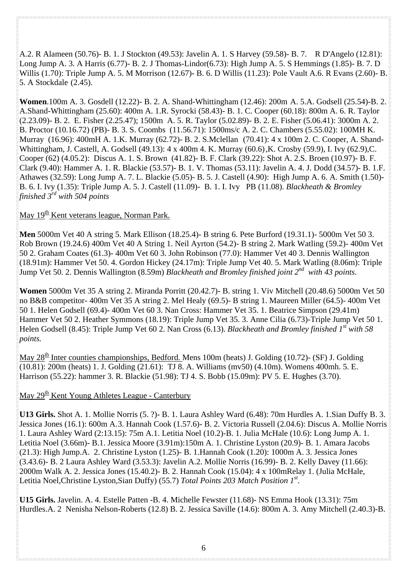A.2. R Alameen (50.76)- B. 1. J Stockton (49.53): Javelin A. 1. S Harvey (59.58)- B. 7. R D'Angelo (12.81): Long Jump A. 3. A Harris (6.77)- B. 2. J Thomas-Lindor(6.73): High Jump A. 5. S Hemmings (1.85)- B. 7. D Willis (1.70): Triple Jump A. 5. M Morrison (12.67)- B. 6. D Willis (11.23): Pole Vault A.6. R Evans (2.60)- B. 5. A Stockdale (2.45).

**Women**.100m A. 3. Gosdell (12.22)- B. 2. A. Shand-Whittingham (12.46): 200m A. 5.A. Godsell (25.54)-B. 2. A.Shand-Whittingham (25.60): 400m A. 1.R. Syrocki (58.43)- B. 1. C. Cooper (60.18): 800m A. 6. R. Taylor (2.23.09)- B. 2. E. Fisher (2.25.47); 1500m A. 5. R. Taylor (5.02.89)- B. 2. E. Fisher (5.06.41): 3000m A. 2. B. Proctor (10.16.72) (PB)- B. 3. S. Coombs (11.56.71): 1500ms/c A. 2. C. Chambers (5.55.02): 100MH K. Murray (16.96): 400mH A. 1.K. Murray (62.72)- B. 2. S.Mclellan (70.41): 4 x 100m 2. C. Cooper, A. Shand-Whittingham, J. Castell, A. Godsell (49.13): 4 x 400m 4. K. Murray (60.6) ,K. Crosby (59.9), I. Ivy (62.9),C. Cooper (62) (4.05.2): Discus A. 1. S. Brown (41.82)- B. F. Clark (39.22): Shot A. 2.S. Broen (10.97)- B. F. Clark (9.40): Hammer A. 1. R. Blackie (53.57)- B. 1. V. Thomas (53.11): Javelin A. 4. J. Dodd (34.57)- B. 1.F. Athawes (32.59): Long Jump A. 7. L. Blackie (5.05)- B. 5. J. Castell (4.90): High Jump A. 6. A. Smith (1.50)- B. 6. I. Ivy (1.35): Triple Jump A. 5. J. Castell (11.09)- B. 1. I. Ivy PB (11.08). *Blackheath & Bromley finished 3rd with 504 points*

### May 19<sup>th</sup> Kent veterans league, Norman Park.

**Men** 5000m Vet 40 A string 5. Mark Ellison (18.25.4)- B string 6. Pete Burford (19.31.1)- 5000m Vet 50 3. Rob Brown (19.24.6) 400m Vet 40 A String 1. Neil Ayrton (54.2)- B string 2. Mark Watling (59.2)- 400m Vet 50 2. Graham Coates (61.3)- 400m Vet 60 3. John Robinson (77.0): Hammer Vet 40 3. Dennis Wallington (18.91m): Hammer Vet 50. 4. Gordon Hickey (24.17m): Triple Jump Vet 40. 5. Mark Watling (8.06m): Triple Jump Vet 50. 2. Dennis Wallington (8.59m) *Blackheath and Bromley finished joint 2nd with 43 points.* 

**Women** 5000m Vet 35 A string 2. Miranda Porritt (20.42.7)- B. string 1. Viv Mitchell (20.48.6) 5000m Vet 50 no B&B competitor- 400m Vet 35 A string 2. Mel Healy (69.5)- B string 1. Maureen Miller (64.5)- 400m Vet 50 1. Helen Godsell (69.4)- 400m Vet 60 3. Nan Cross: Hammer Vet 35. 1. Beatrice Simpson (29.41m) Hammer Vet 50 2. Heather Symmons (18.19): Triple Jump Vet 35. 3. Anne Cilia (6.73)-Triple Jump Vet 50 1. Helen Godsell (8.45): Triple Jump Vet 60 2. Nan Cross (6.13). *Blackheath and Bromley finished 1st with 58 points.*

May  $28<sup>th</sup>$  Inter counties championships, Bedford. Mens 100m (heats) J. Golding (10.72)- (SF) J. Golding (10.81): 200m (heats) 1. J. Golding (21.61): TJ 8. A. Williams (mv50) (4.10m). Womens 400mh. 5. E. Harrison (55.22): hammer 3. R. Blackie (51.98): TJ 4. S. Bobb (15.09m): PV 5. E. Hughes (3.70).

### May  $29<sup>th</sup>$  Kent Young Athletes League - Canterbury

**U13 Girls.** Shot A. 1. Mollie Norris (5. ?)- B. 1. Laura Ashley Ward (6.48): 70m Hurdles A. 1.Sian Duffy B. 3. Jessica Jones (16.1): 600m A. 3. Hannah Cook (1.57.6)- B. 2. Victoria Russell (2.04.6): Discus A. Mollie Norris 1. Laura Ashley Ward (2:13.15): 75m A.1. Letitia Noel (10.2)-B. 1. Julia McHale (10.6): Long Jump A. 1. Letitia Noel (3.66m)- B.1. Jessica Moore (3.91m):150m A. 1. Christine Lyston (20.9)- B. 1. Amara Jacobs (21.3): High Jump.A. 2. Christine Lyston (1.25)- B. 1.Hannah Cook (1.20): 1000m A. 3. Jessica Jones (3.43.6)- B. 2 Laura Ashley Ward (3.53.3): Javelin A.2. Mollie Norris (16.99)- B. 2. Kelly Davey (11.66): 2000m Walk A. 2. Jessica Jones (15.40.2)- B. 2. Hannah Cook (15.04): 4 x 100mRelay 1. (Julia McHale, Letitia Noel, Christine Lyston, Sian Duffy) (55.7) *Total Points 203 Match Position 1<sup>st</sup>*.

**U15 Girls.** Javelin. A. 4. Estelle Patten -B. 4. Michelle Fewster (11.68)- NS Emma Hook (13.31): 75m Hurdles.A. 2 Nenisha Nelson-Roberts (12.8) B. 2. Jessica Saville (14.6): 800m A. 3. Amy Mitchell (2.40.3)-B.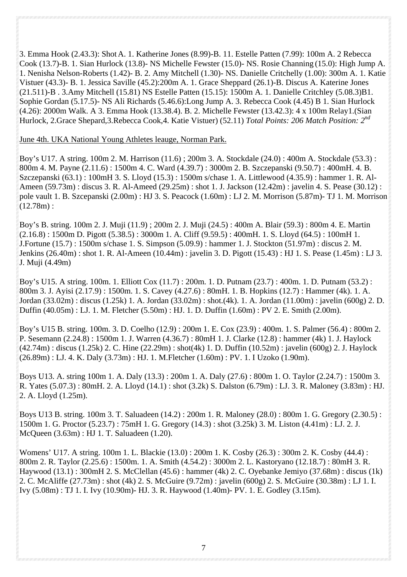3. Emma Hook (2.43.3): Shot A. 1. Katherine Jones (8.99)-B. 11. Estelle Patten (7.99): 100m A. 2 Rebecca Cook (13.7)-B. 1. Sian Hurlock (13.8)- NS Michelle Fewster (15.0)- NS. Rosie Channing (15.0): High Jump A. 1. Nenisha Nelson-Roberts (1.42)- B. 2. Amy Mitchell (1.30)- NS. Danielle Critchelly (1.00): 300m A. 1. Katie Vistuer (43.3)- B. 1. Jessica Saville (45.2):200m A. 1. Grace Sheppard (26.1)-B. Discus A. Katerine Jones (21.511)-B . 3.Amy Mitchell (15.81) NS Estelle Patten (15.15): 1500m A. 1. Danielle Critchley (5.08.3)B1. Sophie Gordan (5.17.5)- NS Ali Richards (5.46.6):Long Jump A. 3. Rebecca Cook (4.45) B 1. Sian Hurlock (4.26): 2000m Walk. A 3. Emma Hook (13.38.4). B. 2. Michelle Fewster (13.42.3): 4 x 100m Relay1.(Sian Hurlock, 2.Grace Shepard,3.Rebecca Cook,4. Katie Vistuer) (52.11) *Total Points: 206 Match Position: 2nd*

#### June 4th. UKA National Young Athletes leauge, Norman Park.

Boy's U17. A string. 100m 2. M. Harrison (11.6) ; 200m 3. A. Stockdale (24.0) : 400m A. Stockdale (53.3) : 800m 4. M. Payne (2.11.6) : 1500m 4. C. Ward (4.39.7) : 3000m 2. B. Szczepanski (9.50.7) : 400mH. 4. B. Szczepanski (63.1) : 100mH 3. S. Lloyd (15.3) : 1500m s/chase 1. A. Littlewood (4.35.9) : hammer 1. R. Al-Ameen (59.73m) : discus 3. R. Al-Ameed (29.25m) : shot 1. J. Jackson (12.42m) : javelin 4. S. Pease (30.12) : pole vault 1. B. Szcepanski (2.00m) : HJ 3. S. Peacock (1.60m) : LJ 2. M. Morrison (5.87m)- TJ 1. M. Morrison  $(12.78m)$ :

Boy's B. string. 100m 2. J. Muji (11.9) ; 200m 2. J. Muji (24.5) : 400m A. Blair (59.3) : 800m 4. E. Martin  $(2.16.8)$ : 1500m D. Pigott  $(5.38.5)$ : 3000m 1. A. Cliff  $(9.59.5)$ : 400mH. 1. S. Lloyd  $(64.5)$ : 100mH 1. J.Fortune (15.7) : 1500m s/chase 1. S. Simpson (5.09.9) : hammer 1. J. Stockton (51.97m) : discus 2. M. Jenkins (26.40m) : shot 1. R. Al-Ameen (10.44m) : javelin 3. D. Pigott (15.43) : HJ 1. S. Pease (1.45m) : LJ 3. J. Muji (4.49m)

Boy's U15. A string. 100m. 1. Elliott Cox (11.7) : 200m. 1. D. Putnam (23.7) : 400m. 1. D. Putnam (53.2) : 800m 3. J. Ayisi (2.17.9) : 1500m. 1. S. Cavey (4.27.6) : 80mH. 1. B. Hopkins (12.7) : Hammer (4k). 1. A. Jordan (33.02m) : discus (1.25k) 1. A. Jordan (33.02m) : shot.(4k). 1. A. Jordan (11.00m) : javelin (600g) 2. D. Duffin (40.05m) : LJ. 1. M. Fletcher (5.50m) : HJ. 1. D. Duffin (1.60m) : PV 2. E. Smith (2.00m).

Boy's U15 B. string. 100m. 3. D. Coelho (12.9) : 200m 1. E. Cox (23.9) : 400m. 1. S. Palmer (56.4) : 800m 2. P. Sesemann (2.24.8) : 1500m 1. J. Warren (4.36.7) : 80mH 1. J. Clarke (12.8) : hammer (4k) 1. J. Haylock (42.74m) : discus (1.25k) 2. C. Hine (22.29m) : shot(4k) 1. D. Duffin (10.52m) : javelin (600g) 2. J. Haylock (26.89m) : LJ. 4. K. Daly (3.73m) : HJ. 1. M.Fletcher (1.60m) : PV. 1. I Uzoko (1.90m).

Boys U13. A. string 100m 1. A. Daly (13.3) : 200m 1. A. Daly (27.6) : 800m 1. O. Taylor (2.24.7) : 1500m 3. R. Yates (5.07.3) : 80mH. 2. A. Lloyd (14.1) : shot (3.2k) S. Dalston (6.79m) : LJ. 3. R. Maloney (3.83m) : HJ. 2. A. Lloyd (1.25m).

Boys U13 B. string. 100m 3. T. Saluadeen (14.2) : 200m 1. R. Maloney (28.0) : 800m 1. G. Gregory (2.30.5) : 1500m 1. G. Proctor (5.23.7) : 75mH 1. G. Gregory (14.3) : shot (3.25k) 3. M. Liston (4.41m) : LJ. 2. J. McQueen (3.63m) : HJ 1. T. Saluadeen (1.20).

Womens' U17. A string. 100m 1. L. Blackie (13.0) : 200m 1. K. Cosby (26.3) : 300m 2. K. Cosby (44.4) : 800m 2. R. Taylor (2.25.6) : 1500m. 1. A. Smith (4.54.2) : 3000m 2. L. Kastoryano (12.18.7) : 80mH 3. R. Haywood (13.1) : 300mH 2. S. McClellan (45.6) : hammer (4k) 2. C. Oyebanke Jemiyo (37.68m) : discus (1k) 2. C. McAliffe (27.73m) : shot (4k) 2. S. McGuire (9.72m) : javelin (600g) 2. S. McGuire (30.38m) : LJ 1. I. Ivy (5.08m) : TJ 1. I. Ivy (10.90m)- HJ. 3. R. Haywood (1.40m)- PV. 1. E. Godley (3.15m).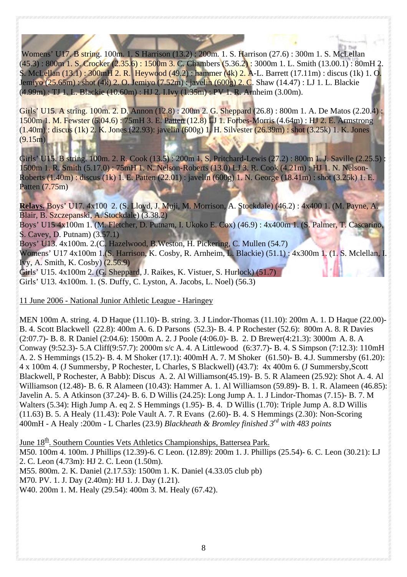Womens' U17. B string. 100m. 1. S Harrison (13.2) : 200m. 1. S. Harrison (27.6) : 300m 1. S. McLellan  $(45.3): 800$ m 1. S. Crocker  $(2.35.6): 1500$ m 3. C. Chambers  $(5.36.2): 3000$ m 1. L. Smith  $(13.00.1): 80$ mH 2. S. McLellan (13.1) : 300mH 2. R. Heywood (49.2) : hammer (4k) 2. A-L. Barrett (17.11m) : discus (1k) 1. O. Jemiyo (25.65m) : shot (4k) 2. O. Jemiyo (7.52m) : javelin (600g) 2. C. Shaw (14.47) : LJ 1. L. Blackie (4.99m) : TJ 1. L. Blackie (10.60m) : HJ 2. I.Ivy (1.35m) : PV 1. R. Arnheim (3.00m).

Girls' U15. A string. 100m. 2. D. Annon (12.8) : 200m 2. G. Sheppard (26.8) : 800m 1. A. De Matos (2.20.4) : 1500m 1. M. Fewster (5.04.6) : 75mH 3. E. Patten (12.8) LJ 1. Forbes-Morris (4.64m) : HJ 2. E. Armstrong (1.40m) : discus (1k) 2. K. Jones (22.93): javelin (600g) 1. H. Silvester (26.39m) : shot (3.25k) 1. K. Jones  $(9.15m)$ 

Girls' U15. B string. 100m. 2. R. Cook (13.5) : 200m 1. S. Pritchard-Lewis (27.2) : 800m 1. J. Saville (2.25.5) 1500m 1. R. Smith (5.17.0) : 75mH 1. N. Nelson-Roberts (13.0) LJ 3. R. Cook (4.21m) : HJ 1. N. Nelson-Roberts (1.40m) : discus (1k) 1. E. Patten (22.01) : javelin (600g) 1. N. George (18.41m) : shot (3.25k) 1. E. Patten (7.75m)

**Relays.** Boys' U17. 4x100 2. (S. Lloyd, J. Muji, M. Morrison, A. Stockdale) (46.2) : 4x400 1. (M. Payne, A. Blair, B. Szczepanski, A. Stockdale) (3.38.2) Boys' U15 4x100m 1. (M. Fletcher, D. Putnam, I. Ukoko E. Cox) (46.9) : 4x400m 1. (S. Palmer, T. Cascarino, S. Cavey, D. Putnam) (3.57.1) Boys' U13. 4x100m. 2.(C. Hazelwood, B.Weston, H. Pickering, C. Mullen (54.7) Womens' U17 4x100m 1.(S. Harrison, K. Cosby, R. Arnheim, L. Blackie) (51.1) : 4x300m 1. (1. S. Mclellan, I. Ivy, A. Smith, K. Cosby) (2.56.9)

Girls' U15. 4x100m 2. (G. Sheppard, J. Raikes, K. Vistuer, S. Hurlock) (51.7) Girls' U13. 4x100m. 1. (S. Duffy, C. Lyston, A. Jacobs, L. Noel) (56.3)

11 June 2006 - National Junior Athletic League - Haringey

MEN 100m A. string. 4. D Haque (11.10)- B. string. 3. J Lindor-Thomas (11.10): 200m A. 1. D Haque (22.00)- B. 4. Scott Blackwell (22.8): 400m A. 6. D Parsons (52.3)- B. 4. P Rochester (52.6): 800m A. 8. R Davies (2:07.7)- B. 8. R Daniel (2:04.6): 1500m A. 2. J Poole (4:06.0)- B. 2. D Brewer(4:21.3): 3000m A. 8. A Conway (9:52.3)- 5.A Cliff(9:57.7): 2000m s/c A. 4. A Littlewood (6:37.7)- B. 4. S Simpson (7:12.3): 110mH A. 2. S Hemmings (15.2)- B. 4. M Shoker (17.1): 400mH A. 7. M Shoker (61.50)- B. 4.J. Summersby (61.20): 4 x 100m 4. (J Summersby, P Rochester, L Charles, S Blackwell) (43.7): 4x 400m 6. (J Summersby,Scott Blackwell, P Rochester, A Babb): Discus A. 2. Al Williamson(45.19)- B. 5. R Alameen (25.92): Shot A. 4. Al Williamson (12.48)- B. 6. R Alameen (10.43): Hammer A. 1. Al Williamson (59.89)- B. 1. R. Alameen (46.85): Javelin A. 5. A Atkinson (37.24)- B. 6. D Willis (24.25): Long Jump A. 1. J Lindor-Thomas (7.15)- B. 7. M Walters (5.34): High Jump A. eq 2. S Hemmings (1.95)- B. 4. D Willis (1.70): Triple Jump A. 8.D Willis (11.63) B. 5. A Healy (11.43): Pole Vault A. 7. R Evans (2.60)- B. 4. S Hemmings (2.30): Non-Scoring 400mH - A Healy :200m - L Charles (23.9) *Blackheath & Bromley finished 3rd with 483 points* 

June 18<sup>th</sup>. Southern Counties Vets Athletics Championships, Battersea Park. M50. 100m 4. 100m. J Phillips (12.39)-6. C Leon. (12.89): 200m 1. J. Phillips (25.54)- 6. C. Leon (30.21): LJ 2. C. Leon (4.73m): HJ 2. C. Leon (1.50m). M55. 800m. 2. K. Daniel (2.17.53): 1500m 1. K. Daniel (4.33.05 club pb) M70. PV. 1. J. Day (2.40m): HJ 1. J. Day (1.21). W40. 200m 1. M. Healy (29.54): 400m 3. M. Healy (67.42).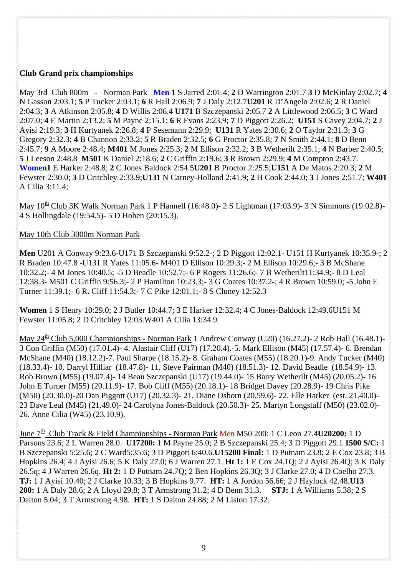#### **Club Grand prix championships**

May 3rd Club 800m - Norman Park **Men 1** S Jarred 2:01.4; **2** D Warrington 2:01.7 **3** D McKinlay 2:02.7; **4** N Gasson 2:03.1; **5** P Tucker 2:03.1; **6** R Hall 2:06.9; **7** J Daly 2:12.7**U201** R D'Angelo 2:02.6; **2** R Daniel 2:04.3; **3** A Atkinson 2:05.8; **4** D Willis 2:06.4 **U171** B Szczepanski 2:05.7 **2** A Littlewood 2:06.5; **3** C Ward 2:07.0; **4** E Martin 2:13.2; **5** M Payne 2:15.1; **6** R Evans 2:23.9; **7** D Piggott 2:26.2; **U151** S Cavey 2:04.7; **2** J Ayisi 2:19.3; **3** H Kurtyanek 2:26.8; **4** P Sesemann 2:29.9; **U131** R Yates 2:30.6; **2** O Taylor 2:31.3; **3** G Gregory 2:32.3; **4** B Channon 2:33.2; **5** R Braden 2:32.5; **6** G Proctor 2:35.8; **7** N Smith 2:44.1; **8** D Benn 2:45.7; **9** A Moore 2:48.4; **M401** M Jones 2:25.3; **2** M Ellison 2:32.2; **3** B Wetherilt 2:35.1; **4** N Barber 2:40.5; **5** J Leeson 2:48.8 **M501** K Daniel 2:18.6; **2** C Griffin 2:19.6; **3** R Brown 2:29.9; **4** M Compton 2:43.7. **Women1** E Harker 2:48.8; **2** C Jones Baldock 2:54.5**U201** B Proctor 2:25.5;**U151** A De Matos 2:20.3; **2** M Fewster 2:30.0; **3** D Critchley 2:33.9;**U131** N Carney-Holland 2:41.9; **2** H Cook 2:44.0; **3** J Jones 2:51.7; **W401** A Cilia 3:11.4;

May  $10^{th}$  Club 3K Walk Norman Park 1 P Hannell (16:48.0)- 2 S Lightman (17:03.9)- 3 N Simmons (19:02.8)-4 S Hollingdale (19:54.5)- 5 D Hoben (20:15.3).

#### May 10th Club 3000m Norman Park

**Men** U201 A Conway 9:23.6-U171 B Szczepanski 9:52.2-; 2 D Piggott 12:02.1- U151 H Kurtyanek 10:35.9-; 2 R Braden 10:47.8 -U131 R Yates 11:05.6- M401 D Ellison 10:29.3;- 2 M Ellison 10:29.6;- 3 B McShane 10:32.2;- 4 M Jones 10:40.5; -5 D Beadle 10:52.7;- 6 P Rogers 11:26.6;- 7 B Wetherilt11:34.9;- 8 D Leal 12:38.3- M501 C Griffin 9:56.3;- 2 P Hamilton 10:23.3;- 3 G Coates 10:37.2-; 4 R Brown 10:59.0; -5 John E Turner 11:39.1;- 6 R. Cliff 11:54.3;- 7 C Pike 12:01.1;- 8 S Cluney 12:52.3

**Women** 1 S Henry 10:29.0; 2 J Butler 10:44.7; 3 E Harker 12:32.4; 4 C Jones-Baldock 12:49.6U151 M Fewster 11:05.8; 2 D Critchley 12:03.W401 A Cilia 13:34.9

May  $24^{\underline{th}}$  Club 5,000 Championships - Norman Park 1 Andrew Conway (U20) (16.27.2)- 2 Rob Hall (16.48.1)-3 Con Griffin (M50) (17.01.4)- 4. Alastair Cliff (U17) (17.20.4).-5. Mark Ellison (M45) (17.57.4)- 6. Brendan McShane (M40) (18.12.2)-7. Paul Sharpe (18.15.2)- 8. Graham Coates (M55) (18.20.1)-9. Andy Tucker (M40) (18.33.4)- 10. Darryl Hilliar (18.47.8)- 11. Steve Pairman (M40) (18.51.3)- 12. David Beadle (18.54.9)- 13. Rob Brown (M55) (19.07.4)- 14 Beau Szczepanski (U17) (19.44.0)- 15 Barry Wetherilt (M45) (20.05.2)- 16 John E Turner (M55) (20.11.9)- 17. Bob Cliff (M55) (20.18.1)- 18 Bridget Davey (20.28.9)- 19 Chris Pike (M50) (20.30.0)-20 Dan Piggott (U17) (20.32.3)- 21. Diane Osborn (20.59.6)- 22. Elle Harker (est. 21.40.0)- 23 Dave Leal (M45) (21.49.0)- 24 Carolyna Jones-Baldock (20.50.3)- 25. Martyn Longstaff (M50) (23.02.0)- 26. Anne Cilia (W45) (23.10.9).

June 7<sup>th</sup> Club Track & Field Championships - Norman Park Men M50 200: 1 C Leon 27.4**U20200:** 1 D Parsons 23.6; 2 L Warren 28.0. **U17200:** 1 M Payne 25.0; 2 B Szczepanski 25.4; 3 D Piggott 29.1 **1500 S/C:** 1 B Szczepanski 5:25.6; 2 C Ward5:35.6; 3 D Piggott 6:40.6.**U15200 Final:** 1 D Putnam 23.8; 2 E Cox 23.8; 3 B Hopkins 26.4; 4 J Ayisi 26.6; 5 K Daly 27.0; 6 J Warren 27.1. **Ht 1:** 1 E Cox 24.1Q; 2 J Ayisi 26.4Q; 3 K Daly 26.5q; 4 J Warren 26.6q. **Ht 2:** 1 D Putnam 24.7Q; 2 Ben Hopkins 26.3Q; 3 J Clarke 27.0; 4 D Coelho 27.3. **TJ:** 1 J Ayisi 10.40; 2 J Clarke 10.33; 3 B Hopkins 9.77. **HT:** 1 A Jordon 56.66; 2 J Haylock 42.48.**U13 200:** 1 A Daly 28.6; 2 A Lloyd 29.8; 3 T Armstrong 31.2; 4 D Benn 31.3. **STJ:** 1 A Williams 5.38; 2 S Dalton 5.04; 3 T Armstrong 4.98. **HT:** 1 S Dalton 24.88; 2 M Liston 17.32.